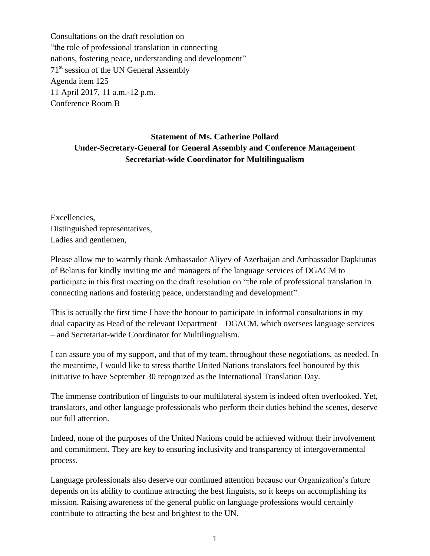Consultations on the draft resolution on "the role of professional translation in connecting nations, fostering peace, understanding and development" 71<sup>st</sup> session of the UN General Assembly Agenda item 125 11 April 2017, 11 a.m.-12 p.m. Conference Room B

## **Statement of Ms. Catherine Pollard Under-Secretary-General for General Assembly and Conference Management Secretariat-wide Coordinator for Multilingualism**

Excellencies, Distinguished representatives, Ladies and gentlemen,

Please allow me to warmly thank Ambassador Aliyev of Azerbaijan and Ambassador Dapkiunas of Belarus for kindly inviting me and managers of the language services of DGACM to participate in this first meeting on the draft resolution on "the role of professional translation in connecting nations and fostering peace, understanding and development".

This is actually the first time I have the honour to participate in informal consultations in my dual capacity as Head of the relevant Department – DGACM, which oversees language services – and Secretariat-wide Coordinator for Multilingualism.

I can assure you of my support, and that of my team, throughout these negotiations, as needed. In the meantime, I would like to stress thatthe United Nations translators feel honoured by this initiative to have September 30 recognized as the International Translation Day.

The immense contribution of linguists to our multilateral system is indeed often overlooked. Yet, translators, and other language professionals who perform their duties behind the scenes, deserve our full attention.

Indeed, none of the purposes of the United Nations could be achieved without their involvement and commitment. They are key to ensuring inclusivity and transparency of intergovernmental process.

Language professionals also deserve our continued attention because our Organization's future depends on its ability to continue attracting the best linguists, so it keeps on accomplishing its mission. Raising awareness of the general public on language professions would certainly contribute to attracting the best and brightest to the UN.